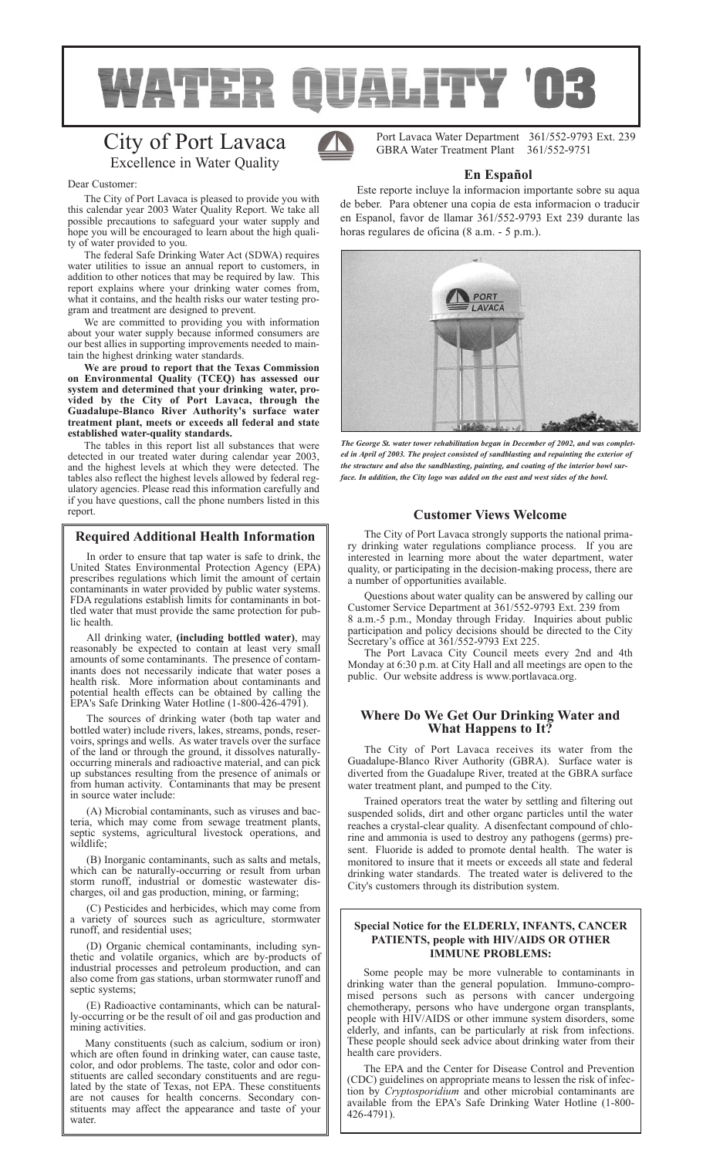

# City of Port Lavaca Excellence in Water Quality



Dear Customer:

The City of Port Lavaca is pleased to provide you with this calendar year 2003 Water Quality Report. We take all possible precautions to safeguard your water supply and hope you will be encouraged to learn about the high quality of water provided to you.

The federal Safe Drinking Water Act (SDWA) requires water utilities to issue an annual report to customers, in addition to other notices that may be required by law. This report explains where your drinking water comes from, what it contains, and the health risks our water testing program and treatment are designed to prevent.

We are committed to providing you with information about your water supply because informed consumers are our best allies in supporting improvements needed to maintain the highest drinking water standards.

**We are proud to report that the Texas Commission on Environmental Quality (TCEQ) has assessed our system and determined that your drinking water, provided by the City of Port Lavaca, through the Guadalupe-Blanco River Authority's surface water treatment plant, meets or exceeds all federal and state established water-quality standards.** 

The tables in this report list all substances that were detected in our treated water during calendar year 2003, and the highest levels at which they were detected. The tables also reflect the highest levels allowed by federal regulatory agencies. Please read this information carefully and if you have questions, call the phone numbers listed in this report. **Customer Views Welcome**

# **Required Additional Health Information**

In order to ensure that tap water is safe to drink, the United States Environmental Protection Agency (EPA) prescribes regulations which limit the amount of certain contaminants in water provided by public water systems. FDA regulations establish limits for contaminants in bottled water that must provide the same protection for public health.

All drinking water, **(including bottled water)**, may reasonably be expected to contain at least very small amounts of some contaminants. The presence of contaminants does not necessarily indicate that water poses a health risk. More information about contaminants and potential health effects can be obtained by calling the EPA's Safe Drinking Water Hotline (1-800-426-4791).

The sources of drinking water (both tap water and bottled water) include rivers, lakes, streams, ponds, reservoirs, springs and wells. As water travels over the surface of the land or through the ground, it dissolves naturallyoccurring minerals and radioactive material, and can pick up substances resulting from the presence of animals or from human activity. Contaminants that may be present in source water include:

(A) Microbial contaminants, such as viruses and bacteria, which may come from sewage treatment plants, septic systems, agricultural livestock operations, and wildlife;

(B) Inorganic contaminants, such as salts and metals, which can be naturally-occurring or result from urban storm runoff, industrial or domestic wastewater discharges, oil and gas production, mining, or farming;

(C) Pesticides and herbicides, which may come from a variety of sources such as agriculture, stormwater runoff, and residential uses;

(D) Organic chemical contaminants, including synthetic and volatile organics, which are by-products of industrial processes and petroleum production, and can also come from gas stations, urban stormwater runoff and septic systems;

(E) Radioactive contaminants, which can be naturally-occurring or be the result of oil and gas production and mining activities.

Many constituents (such as calcium, sodium or iron) which are often found in drinking water, can cause taste, color, and odor problems. The taste, color and odor constituents are called secondary constituents and are regulated by the state of Texas, not EPA. These constituents are not causes for health concerns. Secondary constituents may affect the appearance and taste of your water

Port Lavaca Water Department 361/552-9793 Ext. 239 GBRA Water Treatment Plant 361/552-9751

# **En Español**

Este reporte incluye la informacion importante sobre su aqua de beber. Para obtener una copia de esta informacion o traducir en Espanol, favor de llamar 361/552-9793 Ext 239 durante las horas regulares de oficina (8 a.m. - 5 p.m.).



*The George St. water tower rehabilitation began in December of 2002, and was completed in April of 2003. The project consisted of sandblasting and repainting the exterior of the structure and also the sandblasting, painting, and coating of the interior bowl surface. In addition, the City logo was added on the east and west sides of the bowl.*

The City of Port Lavaca strongly supports the national primary drinking water regulations compliance process. If you are interested in learning more about the water department, water quality, or participating in the decision-making process, there are a number of opportunities available.

Questions about water quality can be answered by calling our Customer Service Department at 361/552-9793 Ext. 239 from 8 a.m.-5 p.m., Monday through Friday. Inquiries about public participation and policy decisions should be directed to the City Secretary's office at 361/552-9793 Ext 225.

The Port Lavaca City Council meets every 2nd and 4th Monday at 6:30 p.m. at City Hall and all meetings are open to the public. Our website address is www.portlavaca.org.

# **Where Do We Get Our Drinking Water and What Happens to It?**

The City of Port Lavaca receives its water from the Guadalupe-Blanco River Authority (GBRA). Surface water is diverted from the Guadalupe River, treated at the GBRA surface water treatment plant, and pumped to the City.

Trained operators treat the water by settling and filtering out suspended solids, dirt and other organc particles until the water reaches a crystal-clear quality. A disenfectant compound of chlorine and ammonia is used to destroy any pathogens (germs) present. Fluoride is added to promote dental health. The water is monitored to insure that it meets or exceeds all state and federal drinking water standards. The treated water is delivered to the City's customers through its distribution system.

# **Special Notice for the ELDERLY, INFANTS, CANCER PATIENTS, people with HIV/AIDS OR OTHER IMMUNE PROBLEMS:**

Some people may be more vulnerable to contaminants in drinking water than the general population. Immuno-compromised persons such as persons with cancer undergoing chemotherapy, persons who have undergone organ transplants, people with HIV/AIDS or other immune system disorders, some elderly, and infants, can be particularly at risk from infections. These people should seek advice about drinking water from their health care providers.

The EPA and the Center for Disease Control and Prevention (CDC) guidelines on appropriate means to lessen the risk of infection by *Cryptosporidium* and other microbial contaminants are available from the EPA's Safe Drinking Water Hotline (1-800- 426-4791).